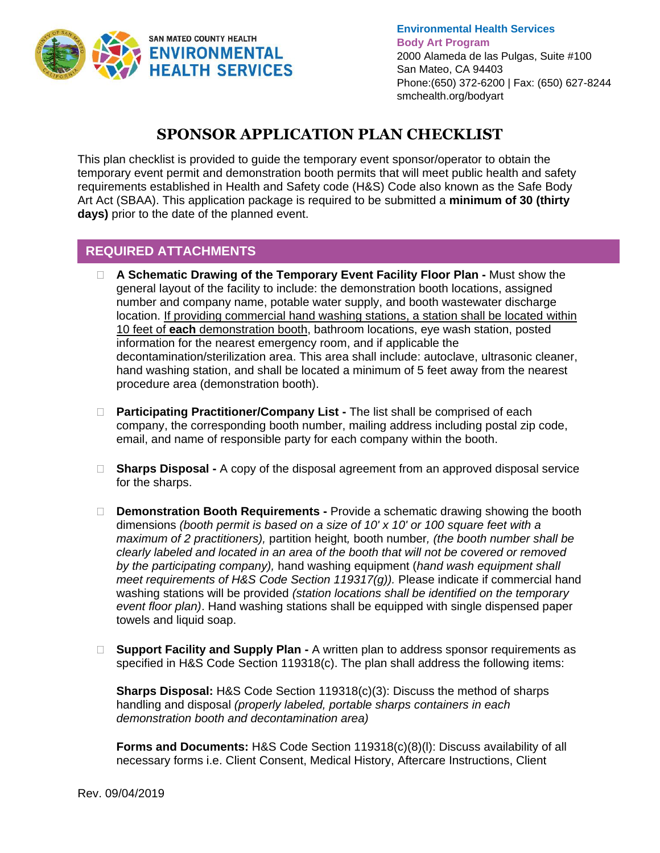

**Environmental Health Services Body Art Program** 2000 Alameda de las Pulgas, Suite #100 San Mateo, CA 94403 Phone:(650) 372-6200 | Fax: (650) 627-8244 smchealth.org/bodyart

## **SPONSOR APPLICATION PLAN CHECKLIST**

This plan checklist is provided to guide the temporary event sponsor/operator to obtain the temporary event permit and demonstration booth permits that will meet public health and safety requirements established in Health and Safety code (H&S) Code also known as the Safe Body Art Act (SBAA). This application package is required to be submitted a **minimum of 30 (thirty days)** prior to the date of the planned event.

## **REQUIRED ATTACHMENTS**

- **A Schematic Drawing of the Temporary Event Facility Floor Plan -** Must show the general layout of the facility to include: the demonstration booth locations, assigned number and company name, potable water supply, and booth wastewater discharge location. If providing commercial hand washing stations, a station shall be located within 10 feet of **each** demonstration booth, bathroom locations, eye wash station, posted information for the nearest emergency room, and if applicable the decontamination/sterilization area. This area shall include: autoclave, ultrasonic cleaner, hand washing station, and shall be located a minimum of 5 feet away from the nearest procedure area (demonstration booth).
- **Participating Practitioner/Company List -** The list shall be comprised of each company, the corresponding booth number, mailing address including postal zip code, email, and name of responsible party for each company within the booth.
- **Sharps Disposal -** A copy of the disposal agreement from an approved disposal service for the sharps.
- **Demonstration Booth Requirements -** Provide a schematic drawing showing the booth dimensions *(booth permit is based on a size of 10' x 10' or 100 square feet with a maximum of 2 practitioners),* partition height*,* booth number*, (the booth number shall be clearly labeled and located in an area of the booth that will not be covered or removed by the participating company),* hand washing equipment (*hand wash equipment shall meet requirements of H&S Code Section 119317(g)).* Please indicate if commercial hand washing stations will be provided *(station locations shall be identified on the temporary event floor plan)*. Hand washing stations shall be equipped with single dispensed paper towels and liquid soap.
- □ **Support Facility and Supply Plan -** A written plan to address sponsor requirements as specified in H&S Code Section 119318(c). The plan shall address the following items:

**Sharps Disposal:** H&S Code Section 119318(c)(3): Discuss the method of sharps handling and disposal *(properly labeled, portable sharps containers in each demonstration booth and decontamination area)*

**Forms and Documents:** H&S Code Section 119318(c)(8)(l): Discuss availability of all necessary forms i.e. Client Consent, Medical History, Aftercare Instructions, Client